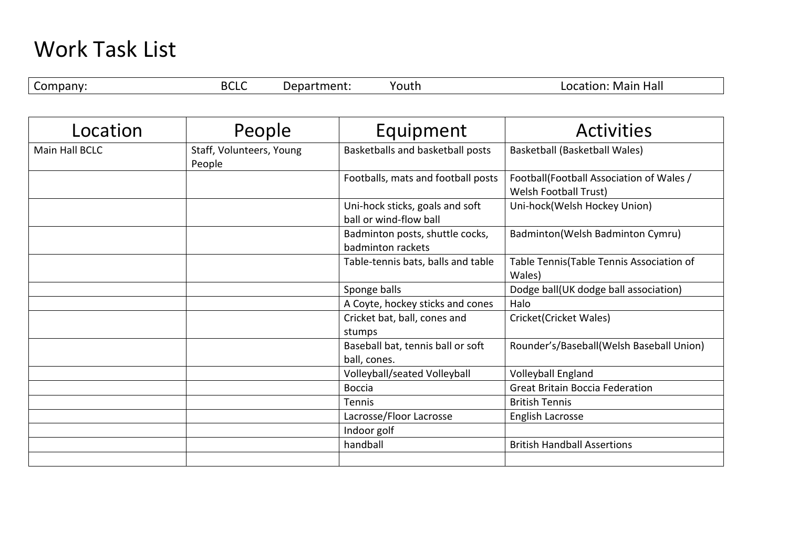## Work Task List

| -<br>эτ | .<br>.<br><b>BLL-</b> | $\overline{\phantom{a}}$ | $\mathbf{v}$<br>12 h | нэн<br>--<br><b>IVI</b><br>,,<br>ndll |
|---------|-----------------------|--------------------------|----------------------|---------------------------------------|

| Location              | People                             | Equipment                                                 | <b>Activities</b>                                                        |
|-----------------------|------------------------------------|-----------------------------------------------------------|--------------------------------------------------------------------------|
| <b>Main Hall BCLC</b> | Staff, Volunteers, Young<br>People | Basketballs and basketball posts                          | Basketball (Basketball Wales)                                            |
|                       |                                    | Footballs, mats and football posts                        | Football(Football Association of Wales /<br><b>Welsh Football Trust)</b> |
|                       |                                    | Uni-hock sticks, goals and soft<br>ball or wind-flow ball | Uni-hock(Welsh Hockey Union)                                             |
|                       |                                    | Badminton posts, shuttle cocks,<br>badminton rackets      | Badminton(Welsh Badminton Cymru)                                         |
|                       |                                    | Table-tennis bats, balls and table                        | Table Tennis(Table Tennis Association of<br>Wales)                       |
|                       |                                    | Sponge balls                                              | Dodge ball(UK dodge ball association)                                    |
|                       |                                    | A Coyte, hockey sticks and cones                          | Halo                                                                     |
|                       |                                    | Cricket bat, ball, cones and<br>stumps                    | Cricket(Cricket Wales)                                                   |
|                       |                                    | Baseball bat, tennis ball or soft<br>ball, cones.         | Rounder's/Baseball(Welsh Baseball Union)                                 |
|                       |                                    | Volleyball/seated Volleyball                              | Volleyball England                                                       |
|                       |                                    | <b>Boccia</b>                                             | <b>Great Britain Boccia Federation</b>                                   |
|                       |                                    | Tennis                                                    | <b>British Tennis</b>                                                    |
|                       |                                    | Lacrosse/Floor Lacrosse                                   | English Lacrosse                                                         |
|                       |                                    | Indoor golf                                               |                                                                          |
|                       |                                    | handball                                                  | <b>British Handball Assertions</b>                                       |
|                       |                                    |                                                           |                                                                          |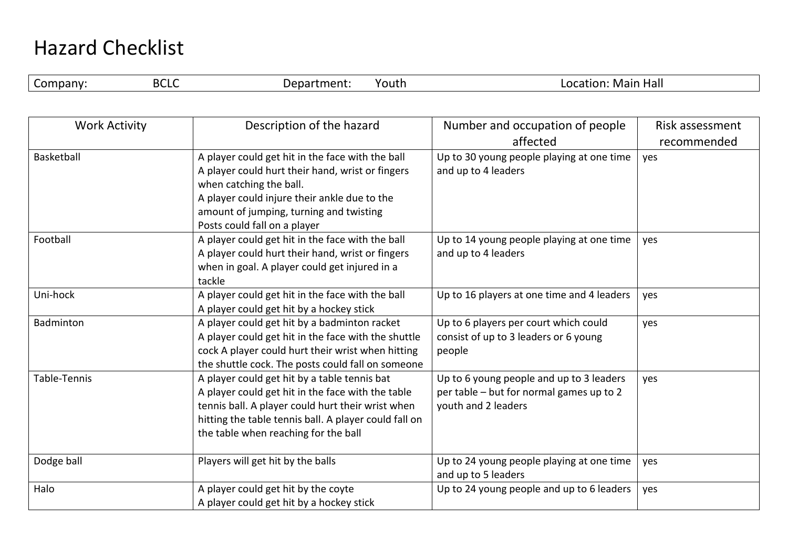## Hazard Checklist

| ז וחה<br>Hall<br>outh<br>יו חב<br>Mair<br>۾ ر<br>tion<br>ПU<br>DしLし<br>ו הני<br>11. JU<br>. III.<br>◡ |  |  |  |  |  |  |
|-------------------------------------------------------------------------------------------------------|--|--|--|--|--|--|
|-------------------------------------------------------------------------------------------------------|--|--|--|--|--|--|

| <b>Work Activity</b> | Description of the hazard                                                                                                                                                                                                                                  | Number and occupation of people                                                                             | Risk assessment |
|----------------------|------------------------------------------------------------------------------------------------------------------------------------------------------------------------------------------------------------------------------------------------------------|-------------------------------------------------------------------------------------------------------------|-----------------|
|                      |                                                                                                                                                                                                                                                            | affected                                                                                                    | recommended     |
| Basketball           | A player could get hit in the face with the ball<br>A player could hurt their hand, wrist or fingers<br>when catching the ball.<br>A player could injure their ankle due to the<br>amount of jumping, turning and twisting<br>Posts could fall on a player | Up to 30 young people playing at one time<br>and up to 4 leaders                                            | yes             |
| Football             | A player could get hit in the face with the ball<br>A player could hurt their hand, wrist or fingers<br>when in goal. A player could get injured in a<br>tackle                                                                                            | Up to 14 young people playing at one time<br>and up to 4 leaders                                            | yes             |
| Uni-hock             | A player could get hit in the face with the ball<br>A player could get hit by a hockey stick                                                                                                                                                               | Up to 16 players at one time and 4 leaders                                                                  | yes             |
| Badminton            | A player could get hit by a badminton racket<br>A player could get hit in the face with the shuttle<br>cock A player could hurt their wrist when hitting<br>the shuttle cock. The posts could fall on someone                                              | Up to 6 players per court which could<br>consist of up to 3 leaders or 6 young<br>people                    | yes             |
| Table-Tennis         | A player could get hit by a table tennis bat<br>A player could get hit in the face with the table<br>tennis ball. A player could hurt their wrist when<br>hitting the table tennis ball. A player could fall on<br>the table when reaching for the ball    | Up to 6 young people and up to 3 leaders<br>per table - but for normal games up to 2<br>youth and 2 leaders | yes             |
| Dodge ball           | Players will get hit by the balls                                                                                                                                                                                                                          | Up to 24 young people playing at one time<br>and up to 5 leaders                                            | yes             |
| Halo                 | A player could get hit by the coyte<br>A player could get hit by a hockey stick                                                                                                                                                                            | Up to 24 young people and up to 6 leaders                                                                   | yes             |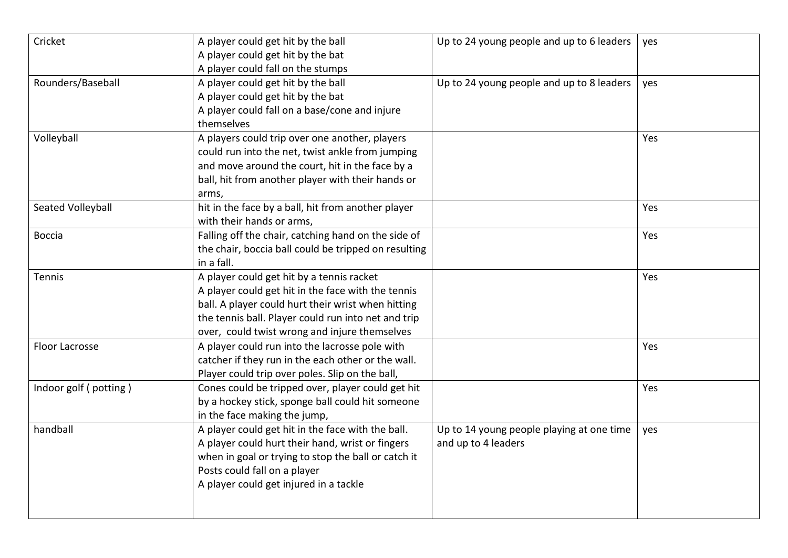| Cricket               | A player could get hit by the ball<br>A player could get hit by the bat<br>A player could fall on the stumps                                                                                                                                                  | Up to 24 young people and up to 6 leaders                        | yes |
|-----------------------|---------------------------------------------------------------------------------------------------------------------------------------------------------------------------------------------------------------------------------------------------------------|------------------------------------------------------------------|-----|
| Rounders/Baseball     | A player could get hit by the ball<br>A player could get hit by the bat<br>A player could fall on a base/cone and injure<br>themselves                                                                                                                        | Up to 24 young people and up to 8 leaders                        | yes |
| Volleyball            | A players could trip over one another, players<br>could run into the net, twist ankle from jumping<br>and move around the court, hit in the face by a<br>ball, hit from another player with their hands or<br>arms,                                           |                                                                  | Yes |
| Seated Volleyball     | hit in the face by a ball, hit from another player<br>with their hands or arms,                                                                                                                                                                               |                                                                  | Yes |
| <b>Boccia</b>         | Falling off the chair, catching hand on the side of<br>the chair, boccia ball could be tripped on resulting<br>in a fall.                                                                                                                                     |                                                                  | Yes |
| Tennis                | A player could get hit by a tennis racket<br>A player could get hit in the face with the tennis<br>ball. A player could hurt their wrist when hitting<br>the tennis ball. Player could run into net and trip<br>over, could twist wrong and injure themselves |                                                                  | Yes |
| Floor Lacrosse        | A player could run into the lacrosse pole with<br>catcher if they run in the each other or the wall.<br>Player could trip over poles. Slip on the ball,                                                                                                       |                                                                  | Yes |
| Indoor golf (potting) | Cones could be tripped over, player could get hit<br>by a hockey stick, sponge ball could hit someone<br>in the face making the jump,                                                                                                                         |                                                                  | Yes |
| handball              | A player could get hit in the face with the ball.<br>A player could hurt their hand, wrist or fingers<br>when in goal or trying to stop the ball or catch it<br>Posts could fall on a player<br>A player could get injured in a tackle                        | Up to 14 young people playing at one time<br>and up to 4 leaders | yes |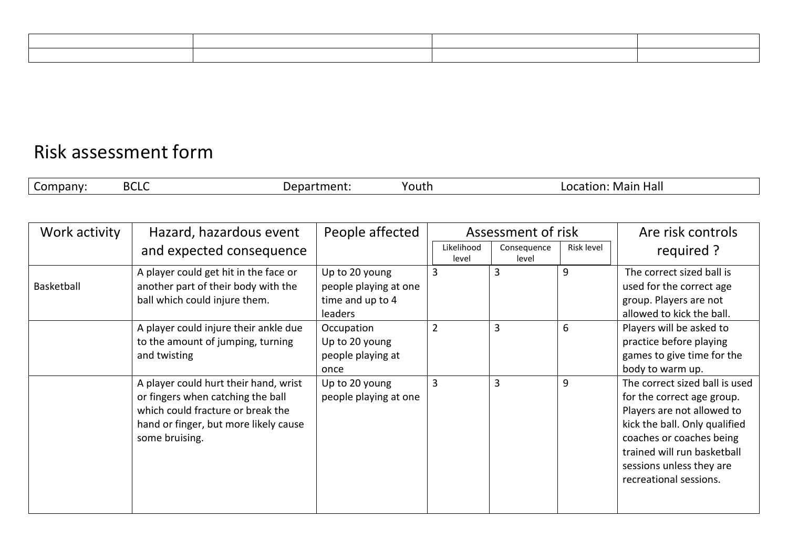| <u> 1989 - Johann Stoff, deutscher Stoff, der Stoff, der Stoff, der Stoff, der Stoff, der Stoff, der Stoff, der S</u> |  |  |
|-----------------------------------------------------------------------------------------------------------------------|--|--|
|                                                                                                                       |  |  |

## Risk assessment form

| $\mathbf{D}$<br>-<br>Hall<br>70uth<br>. Mair<br>วทบ<br><b>DLL.</b><br>. .<br>. .<br>w |  |
|---------------------------------------------------------------------------------------|--|
|---------------------------------------------------------------------------------------|--|

| Work activity | Hazard, hazardous event                                                                                                                                                    | People affected                                                        | Assessment of risk  |                      |            | Are risk controls                                                                                                                                                                                                                            |
|---------------|----------------------------------------------------------------------------------------------------------------------------------------------------------------------------|------------------------------------------------------------------------|---------------------|----------------------|------------|----------------------------------------------------------------------------------------------------------------------------------------------------------------------------------------------------------------------------------------------|
|               | and expected consequence                                                                                                                                                   |                                                                        | Likelihood<br>level | Consequence<br>level | Risk level | required ?                                                                                                                                                                                                                                   |
| Basketball    | A player could get hit in the face or<br>another part of their body with the<br>ball which could injure them.                                                              | Up to 20 young<br>people playing at one<br>time and up to 4<br>leaders | 3                   | 3                    | 9          | The correct sized ball is<br>used for the correct age<br>group. Players are not<br>allowed to kick the ball.                                                                                                                                 |
|               | A player could injure their ankle due<br>to the amount of jumping, turning<br>and twisting                                                                                 | Occupation<br>Up to 20 young<br>people playing at<br>once              | $\overline{2}$      | $\overline{3}$       | 6          | Players will be asked to<br>practice before playing<br>games to give time for the<br>body to warm up.                                                                                                                                        |
|               | A player could hurt their hand, wrist<br>or fingers when catching the ball<br>which could fracture or break the<br>hand or finger, but more likely cause<br>some bruising. | Up to 20 young<br>people playing at one                                | 3                   | $\overline{3}$       | 9          | The correct sized ball is used<br>for the correct age group.<br>Players are not allowed to<br>kick the ball. Only qualified<br>coaches or coaches being<br>trained will run basketball<br>sessions unless they are<br>recreational sessions. |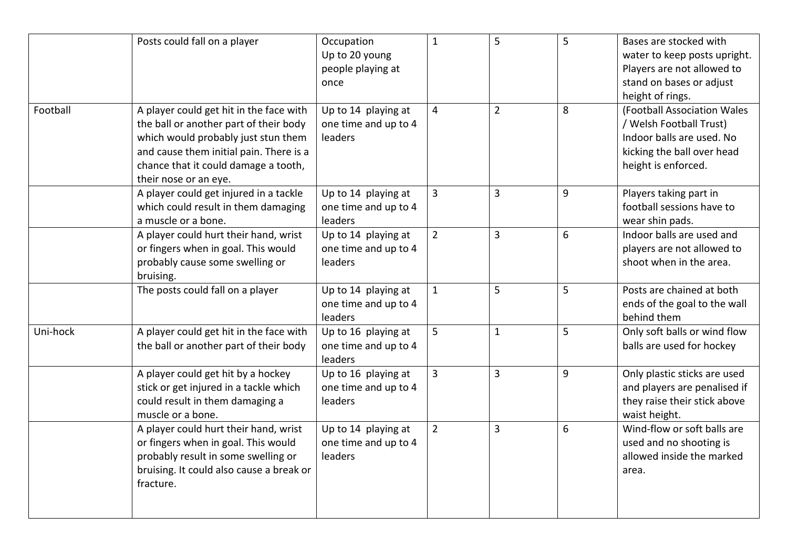|          | Posts could fall on a player                                                                                                                                                                                                         | Occupation<br>Up to 20 young<br>people playing at<br>once | $\mathbf{1}$   | 5              | 5 | Bases are stocked with<br>water to keep posts upright.<br>Players are not allowed to<br>stand on bases or adjust                                             |
|----------|--------------------------------------------------------------------------------------------------------------------------------------------------------------------------------------------------------------------------------------|-----------------------------------------------------------|----------------|----------------|---|--------------------------------------------------------------------------------------------------------------------------------------------------------------|
| Football | A player could get hit in the face with<br>the ball or another part of their body<br>which would probably just stun them<br>and cause them initial pain. There is a<br>chance that it could damage a tooth,<br>their nose or an eye. | Up to 14 playing at<br>one time and up to 4<br>leaders    | 4              | $\overline{2}$ | 8 | height of rings.<br>(Football Association Wales<br>/ Welsh Football Trust)<br>Indoor balls are used. No<br>kicking the ball over head<br>height is enforced. |
|          | A player could get injured in a tackle<br>which could result in them damaging<br>a muscle or a bone.                                                                                                                                 | Up to 14 playing at<br>one time and up to 4<br>leaders    | $\overline{3}$ | $\overline{3}$ | 9 | Players taking part in<br>football sessions have to<br>wear shin pads.                                                                                       |
|          | A player could hurt their hand, wrist<br>or fingers when in goal. This would<br>probably cause some swelling or<br>bruising.                                                                                                         | Up to 14 playing at<br>one time and up to 4<br>leaders    | $\overline{2}$ | $\mathbf{3}$   | 6 | Indoor balls are used and<br>players are not allowed to<br>shoot when in the area.                                                                           |
|          | The posts could fall on a player                                                                                                                                                                                                     | Up to 14 playing at<br>one time and up to 4<br>leaders    | $\mathbf{1}$   | 5              | 5 | Posts are chained at both<br>ends of the goal to the wall<br>behind them                                                                                     |
| Uni-hock | A player could get hit in the face with<br>the ball or another part of their body                                                                                                                                                    | Up to 16 playing at<br>one time and up to 4<br>leaders    | 5              | $\mathbf{1}$   | 5 | Only soft balls or wind flow<br>balls are used for hockey                                                                                                    |
|          | A player could get hit by a hockey<br>stick or get injured in a tackle which<br>could result in them damaging a<br>muscle or a bone.                                                                                                 | Up to 16 playing at<br>one time and up to 4<br>leaders    | $\overline{3}$ | $\overline{3}$ | 9 | Only plastic sticks are used<br>and players are penalised if<br>they raise their stick above<br>waist height.                                                |
|          | A player could hurt their hand, wrist<br>or fingers when in goal. This would<br>probably result in some swelling or<br>bruising. It could also cause a break or<br>fracture.                                                         | Up to 14 playing at<br>one time and up to 4<br>leaders    | $\overline{2}$ | $\overline{3}$ | 6 | Wind-flow or soft balls are<br>used and no shooting is<br>allowed inside the marked<br>area.                                                                 |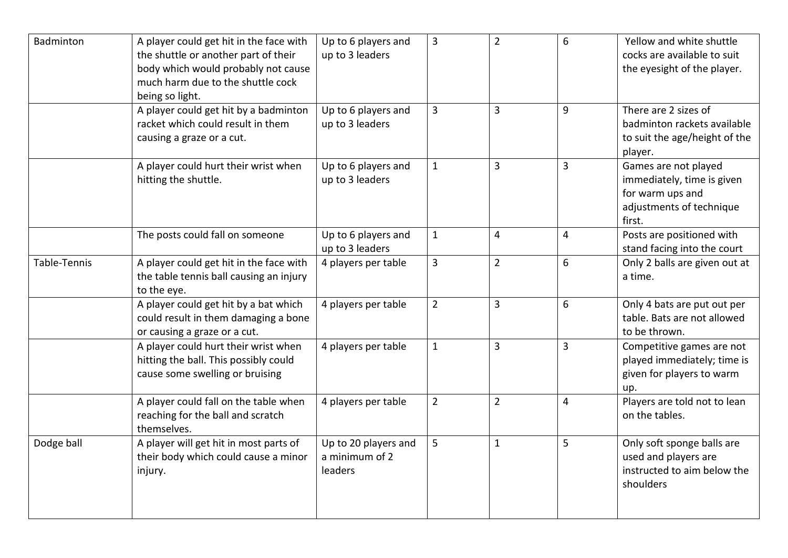| Badminton    | A player could get hit in the face with<br>the shuttle or another part of their<br>body which would probably not cause<br>much harm due to the shuttle cock | Up to 6 players and<br>up to 3 leaders            | $\overline{3}$ | $\overline{2}$ | 6              | Yellow and white shuttle<br>cocks are available to suit<br>the eyesight of the player.                       |
|--------------|-------------------------------------------------------------------------------------------------------------------------------------------------------------|---------------------------------------------------|----------------|----------------|----------------|--------------------------------------------------------------------------------------------------------------|
|              | being so light.<br>A player could get hit by a badminton<br>racket which could result in them<br>causing a graze or a cut.                                  | Up to 6 players and<br>up to 3 leaders            | $\overline{3}$ | $\overline{3}$ | 9              | There are 2 sizes of<br>badminton rackets available<br>to suit the age/height of the<br>player.              |
|              | A player could hurt their wrist when<br>hitting the shuttle.                                                                                                | Up to 6 players and<br>up to 3 leaders            | $\mathbf 1$    | $\overline{3}$ | 3              | Games are not played<br>immediately, time is given<br>for warm ups and<br>adjustments of technique<br>first. |
|              | The posts could fall on someone                                                                                                                             | Up to 6 players and<br>up to 3 leaders            | $1\,$          | 4              | $\overline{4}$ | Posts are positioned with<br>stand facing into the court                                                     |
| Table-Tennis | A player could get hit in the face with<br>the table tennis ball causing an injury<br>to the eye.                                                           | 4 players per table                               | $\overline{3}$ | $\overline{2}$ | 6              | Only 2 balls are given out at<br>a time.                                                                     |
|              | A player could get hit by a bat which<br>could result in them damaging a bone<br>or causing a graze or a cut.                                               | 4 players per table                               | $\overline{2}$ | $\overline{3}$ | 6              | Only 4 bats are put out per<br>table. Bats are not allowed<br>to be thrown.                                  |
|              | A player could hurt their wrist when<br>hitting the ball. This possibly could<br>cause some swelling or bruising                                            | 4 players per table                               | $\mathbf{1}$   | 3              | 3              | Competitive games are not<br>played immediately; time is<br>given for players to warm<br>up.                 |
|              | A player could fall on the table when<br>reaching for the ball and scratch<br>themselves.                                                                   | 4 players per table                               | $\overline{2}$ | $\overline{2}$ | $\overline{4}$ | Players are told not to lean<br>on the tables.                                                               |
| Dodge ball   | A player will get hit in most parts of<br>their body which could cause a minor<br>injury.                                                                   | Up to 20 players and<br>a minimum of 2<br>leaders | 5              | $\mathbf{1}$   | 5              | Only soft sponge balls are<br>used and players are<br>instructed to aim below the<br>shoulders               |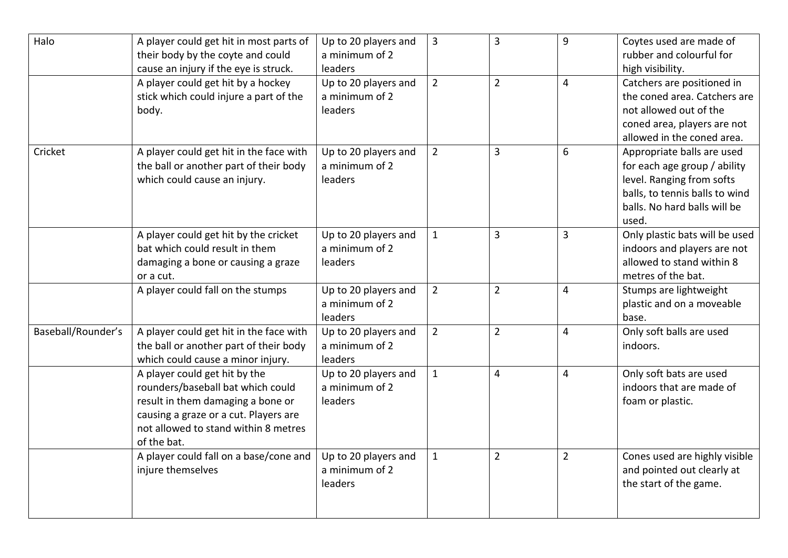| Halo               | A player could get hit in most parts of<br>their body by the coyte and could<br>cause an injury if the eye is struck.                                                                                   | Up to 20 players and<br>a minimum of 2<br>leaders | $\overline{3}$ | 3              | 9              | Coytes used are made of<br>rubber and colourful for<br>high visibility.                                                                                            |
|--------------------|---------------------------------------------------------------------------------------------------------------------------------------------------------------------------------------------------------|---------------------------------------------------|----------------|----------------|----------------|--------------------------------------------------------------------------------------------------------------------------------------------------------------------|
|                    | A player could get hit by a hockey<br>stick which could injure a part of the<br>body.                                                                                                                   | Up to 20 players and<br>a minimum of 2<br>leaders | $\overline{2}$ | $\overline{2}$ | $\overline{4}$ | Catchers are positioned in<br>the coned area. Catchers are<br>not allowed out of the<br>coned area, players are not<br>allowed in the coned area.                  |
| Cricket            | A player could get hit in the face with<br>the ball or another part of their body<br>which could cause an injury.                                                                                       | Up to 20 players and<br>a minimum of 2<br>leaders | $\overline{2}$ | 3              | 6              | Appropriate balls are used<br>for each age group / ability<br>level. Ranging from softs<br>balls, to tennis balls to wind<br>balls. No hard balls will be<br>used. |
|                    | A player could get hit by the cricket<br>bat which could result in them<br>damaging a bone or causing a graze<br>or a cut.                                                                              | Up to 20 players and<br>a minimum of 2<br>leaders | $\mathbf{1}$   | 3              | 3              | Only plastic bats will be used<br>indoors and players are not<br>allowed to stand within 8<br>metres of the bat.                                                   |
|                    | A player could fall on the stumps                                                                                                                                                                       | Up to 20 players and<br>a minimum of 2<br>leaders | $\overline{2}$ | $\overline{2}$ | $\overline{4}$ | Stumps are lightweight<br>plastic and on a moveable<br>base.                                                                                                       |
| Baseball/Rounder's | A player could get hit in the face with<br>the ball or another part of their body<br>which could cause a minor injury.                                                                                  | Up to 20 players and<br>a minimum of 2<br>leaders | $\overline{2}$ | $\overline{2}$ | 4              | Only soft balls are used<br>indoors.                                                                                                                               |
|                    | A player could get hit by the<br>rounders/baseball bat which could<br>result in them damaging a bone or<br>causing a graze or a cut. Players are<br>not allowed to stand within 8 metres<br>of the bat. | Up to 20 players and<br>a minimum of 2<br>leaders | $\mathbf{1}$   | 4              | $\overline{4}$ | Only soft bats are used<br>indoors that are made of<br>foam or plastic.                                                                                            |
|                    | A player could fall on a base/cone and<br>injure themselves                                                                                                                                             | Up to 20 players and<br>a minimum of 2<br>leaders | $\mathbf{1}$   | $\overline{2}$ | $\overline{2}$ | Cones used are highly visible<br>and pointed out clearly at<br>the start of the game.                                                                              |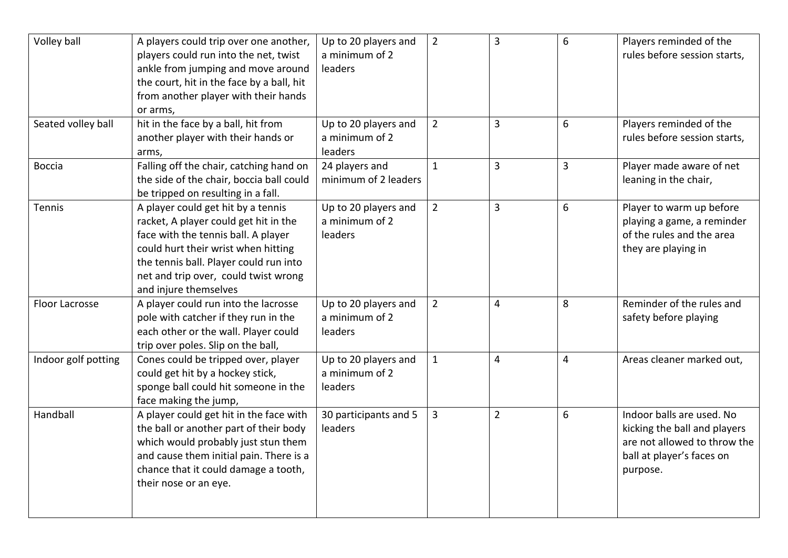| Volley ball         | A players could trip over one another,<br>players could run into the net, twist<br>ankle from jumping and move around<br>the court, hit in the face by a ball, hit<br>from another player with their hands                                                           | Up to 20 players and<br>a minimum of 2<br>leaders | $\overline{2}$ | $\overline{3}$ | 6              | Players reminded of the<br>rules before session starts,                                                                            |
|---------------------|----------------------------------------------------------------------------------------------------------------------------------------------------------------------------------------------------------------------------------------------------------------------|---------------------------------------------------|----------------|----------------|----------------|------------------------------------------------------------------------------------------------------------------------------------|
| Seated volley ball  | or arms,<br>hit in the face by a ball, hit from<br>another player with their hands or<br>arms,                                                                                                                                                                       | Up to 20 players and<br>a minimum of 2<br>leaders | $\overline{2}$ | $\overline{3}$ | 6              | Players reminded of the<br>rules before session starts,                                                                            |
| Boccia              | Falling off the chair, catching hand on<br>the side of the chair, boccia ball could<br>be tripped on resulting in a fall.                                                                                                                                            | 24 players and<br>minimum of 2 leaders            | $\mathbf 1$    | $\overline{3}$ | $\overline{3}$ | Player made aware of net<br>leaning in the chair,                                                                                  |
| Tennis              | A player could get hit by a tennis<br>racket, A player could get hit in the<br>face with the tennis ball. A player<br>could hurt their wrist when hitting<br>the tennis ball. Player could run into<br>net and trip over, could twist wrong<br>and injure themselves | Up to 20 players and<br>a minimum of 2<br>leaders | $\overline{2}$ | $\overline{3}$ | 6              | Player to warm up before<br>playing a game, a reminder<br>of the rules and the area<br>they are playing in                         |
| Floor Lacrosse      | A player could run into the lacrosse<br>pole with catcher if they run in the<br>each other or the wall. Player could<br>trip over poles. Slip on the ball,                                                                                                           | Up to 20 players and<br>a minimum of 2<br>leaders | $\overline{2}$ | 4              | 8              | Reminder of the rules and<br>safety before playing                                                                                 |
| Indoor golf potting | Cones could be tripped over, player<br>could get hit by a hockey stick,<br>sponge ball could hit someone in the<br>face making the jump,                                                                                                                             | Up to 20 players and<br>a minimum of 2<br>leaders | $\mathbf{1}$   | 4              | $\overline{4}$ | Areas cleaner marked out,                                                                                                          |
| Handball            | A player could get hit in the face with<br>the ball or another part of their body<br>which would probably just stun them<br>and cause them initial pain. There is a<br>chance that it could damage a tooth,<br>their nose or an eye.                                 | 30 participants and 5<br>leaders                  | $\overline{3}$ | $\overline{2}$ | 6              | Indoor balls are used. No<br>kicking the ball and players<br>are not allowed to throw the<br>ball at player's faces on<br>purpose. |